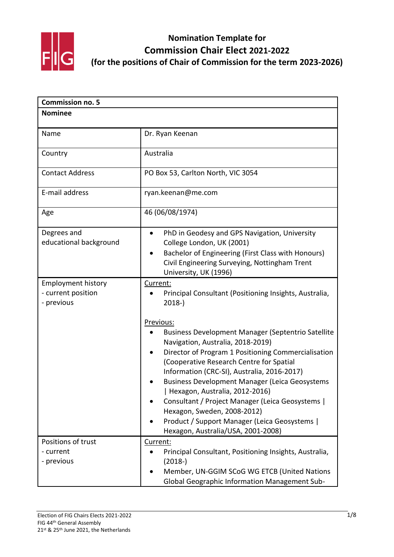

| <b>Commission no. 5</b>                                       |                                                                                                                                                                                                                                                                                                                                                                                                                                                                                                                                    |
|---------------------------------------------------------------|------------------------------------------------------------------------------------------------------------------------------------------------------------------------------------------------------------------------------------------------------------------------------------------------------------------------------------------------------------------------------------------------------------------------------------------------------------------------------------------------------------------------------------|
| <b>Nominee</b>                                                |                                                                                                                                                                                                                                                                                                                                                                                                                                                                                                                                    |
|                                                               |                                                                                                                                                                                                                                                                                                                                                                                                                                                                                                                                    |
| Name                                                          | Dr. Ryan Keenan                                                                                                                                                                                                                                                                                                                                                                                                                                                                                                                    |
| Country                                                       | Australia                                                                                                                                                                                                                                                                                                                                                                                                                                                                                                                          |
| <b>Contact Address</b>                                        | PO Box 53, Carlton North, VIC 3054                                                                                                                                                                                                                                                                                                                                                                                                                                                                                                 |
| E-mail address                                                | ryan.keenan@me.com                                                                                                                                                                                                                                                                                                                                                                                                                                                                                                                 |
| Age                                                           | 46 (06/08/1974)                                                                                                                                                                                                                                                                                                                                                                                                                                                                                                                    |
| Degrees and<br>educational background                         | PhD in Geodesy and GPS Navigation, University<br>$\bullet$<br>College London, UK (2001)<br>Bachelor of Engineering (First Class with Honours)<br>Civil Engineering Surveying, Nottingham Trent<br>University, UK (1996)                                                                                                                                                                                                                                                                                                            |
| <b>Employment history</b><br>- current position<br>- previous | Current:<br>Principal Consultant (Positioning Insights, Australia,<br>$2018-$                                                                                                                                                                                                                                                                                                                                                                                                                                                      |
|                                                               | Previous:<br><b>Business Development Manager (Septentrio Satellite</b><br>Navigation, Australia, 2018-2019)<br>Director of Program 1 Positioning Commercialisation<br>(Cooperative Research Centre for Spatial<br>Information (CRC-SI), Australia, 2016-2017)<br><b>Business Development Manager (Leica Geosystems</b><br>Hexagon, Australia, 2012-2016)<br>Consultant / Project Manager (Leica Geosystems  <br>Hexagon, Sweden, 2008-2012)<br>Product / Support Manager (Leica Geosystems  <br>Hexagon, Australia/USA, 2001-2008) |
| Positions of trust<br>- current<br>- previous                 | Current:<br>Principal Consultant, Positioning Insights, Australia,<br>$(2018 - )$<br>Member, UN-GGIM SCoG WG ETCB (United Nations<br><b>Global Geographic Information Management Sub-</b>                                                                                                                                                                                                                                                                                                                                          |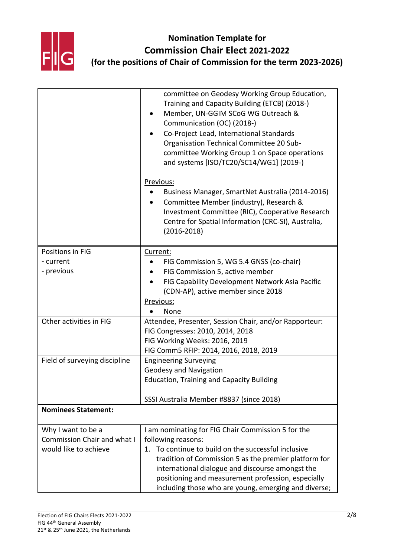

|                                    | committee on Geodesy Working Group Education,<br>Training and Capacity Building (ETCB) (2018-)<br>Member, UN-GGIM SCoG WG Outreach &<br>Communication (OC) (2018-)<br>Co-Project Lead, International Standards<br>Organisation Technical Committee 20 Sub-<br>committee Working Group 1 on Space operations<br>and systems [ISO/TC20/SC14/WG1] (2019-) |
|------------------------------------|--------------------------------------------------------------------------------------------------------------------------------------------------------------------------------------------------------------------------------------------------------------------------------------------------------------------------------------------------------|
|                                    | Previous:<br>Business Manager, SmartNet Australia (2014-2016)<br>Committee Member (industry), Research &<br>Investment Committee (RIC), Cooperative Research<br>Centre for Spatial Information (CRC-SI), Australia,<br>$(2016 - 2018)$                                                                                                                 |
| Positions in FIG                   | Current:                                                                                                                                                                                                                                                                                                                                               |
| - current                          | FIG Commission 5, WG 5.4 GNSS (co-chair)                                                                                                                                                                                                                                                                                                               |
| - previous                         | FIG Commission 5, active member                                                                                                                                                                                                                                                                                                                        |
|                                    | FIG Capability Development Network Asia Pacific                                                                                                                                                                                                                                                                                                        |
|                                    | (CDN-AP), active member since 2018                                                                                                                                                                                                                                                                                                                     |
|                                    | Previous:                                                                                                                                                                                                                                                                                                                                              |
|                                    | None                                                                                                                                                                                                                                                                                                                                                   |
| Other activities in FIG            | Attendee, Presenter, Session Chair, and/or Rapporteur:                                                                                                                                                                                                                                                                                                 |
|                                    | FIG Congresses: 2010, 2014, 2018                                                                                                                                                                                                                                                                                                                       |
|                                    | FIG Working Weeks: 2016, 2019                                                                                                                                                                                                                                                                                                                          |
|                                    | FIG Comm5 RFIP: 2014, 2016, 2018, 2019                                                                                                                                                                                                                                                                                                                 |
| Field of surveying discipline      | <b>Engineering Surveying</b>                                                                                                                                                                                                                                                                                                                           |
|                                    | <b>Geodesy and Navigation</b>                                                                                                                                                                                                                                                                                                                          |
|                                    | <b>Education, Training and Capacity Building</b>                                                                                                                                                                                                                                                                                                       |
|                                    | SSSI Australia Member #8837 (since 2018)                                                                                                                                                                                                                                                                                                               |
| <b>Nominees Statement:</b>         |                                                                                                                                                                                                                                                                                                                                                        |
| Why I want to be a                 | I am nominating for FIG Chair Commission 5 for the                                                                                                                                                                                                                                                                                                     |
| <b>Commission Chair and what I</b> | following reasons:                                                                                                                                                                                                                                                                                                                                     |
| would like to achieve              | 1. To continue to build on the successful inclusive                                                                                                                                                                                                                                                                                                    |
|                                    | tradition of Commission 5 as the premier platform for                                                                                                                                                                                                                                                                                                  |
|                                    | international dialogue and discourse amongst the                                                                                                                                                                                                                                                                                                       |
|                                    | positioning and measurement profession, especially                                                                                                                                                                                                                                                                                                     |
|                                    | including those who are young, emerging and diverse;                                                                                                                                                                                                                                                                                                   |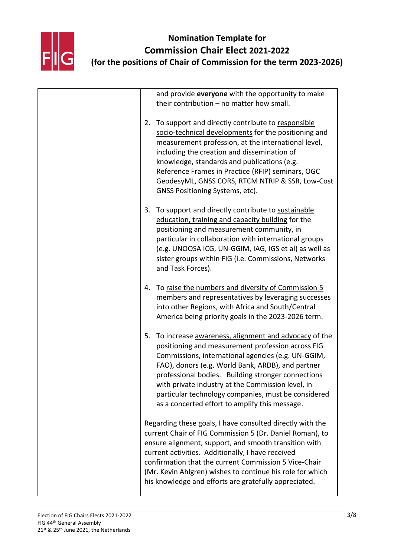

| and provide everyone with the opportunity to make<br>their contribution $-$ no matter how small.                                                                                                                                                                                                                                                                                                                                               |
|------------------------------------------------------------------------------------------------------------------------------------------------------------------------------------------------------------------------------------------------------------------------------------------------------------------------------------------------------------------------------------------------------------------------------------------------|
| To support and directly contribute to responsible<br>2.<br>socio-technical developments for the positioning and<br>measurement profession, at the international level,<br>including the creation and dissemination of<br>knowledge, standards and publications (e.g.<br>Reference Frames in Practice (RFIP) seminars, OGC<br>GeodesyML, GNSS CORS, RTCM NTRIP & SSR, Low-Cost<br>GNSS Positioning Systems, etc).                               |
| To support and directly contribute to sustainable<br>3.<br>education, training and capacity building for the<br>positioning and measurement community, in<br>particular in collaboration with international groups<br>(e.g. UNOOSA ICG, UN-GGIM, IAG, IGS et al) as well as<br>sister groups within FIG (i.e. Commissions, Networks<br>and Task Forces).                                                                                       |
| 4. To raise the numbers and diversity of Commission 5<br>members and representatives by leveraging successes<br>into other Regions, with Africa and South/Central<br>America being priority goals in the 2023-2026 term.                                                                                                                                                                                                                       |
| 5.<br>To increase awareness, alignment and advocacy of the<br>positioning and measurement profession across FIG<br>Commissions, international agencies (e.g. UN-GGIM,<br>FAO), donors (e.g. World Bank, ARDB), and partner<br>professional bodies. Building stronger connections<br>with private industry at the Commission level, in<br>particular technology companies, must be considered<br>as a concerted effort to amplify this message. |
| Regarding these goals, I have consulted directly with the<br>current Chair of FIG Commission 5 (Dr. Daniel Roman), to<br>ensure alignment, support, and smooth transition with<br>current activities. Additionally, I have received<br>confirmation that the current Commission 5 Vice-Chair<br>(Mr. Kevin Ahlgren) wishes to continue his role for which<br>his knowledge and efforts are gratefully appreciated.                             |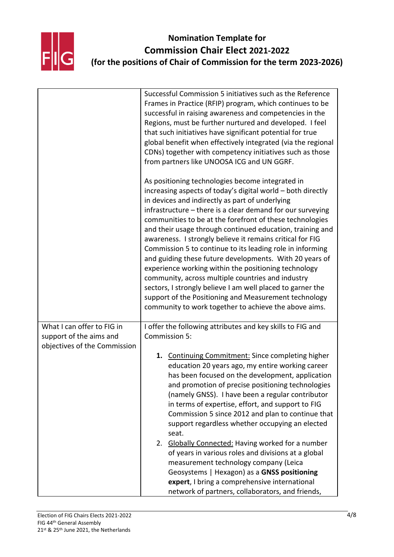

|                                                       | Successful Commission 5 initiatives such as the Reference<br>Frames in Practice (RFIP) program, which continues to be<br>successful in raising awareness and competencies in the<br>Regions, must be further nurtured and developed. I feel<br>that such initiatives have significant potential for true<br>global benefit when effectively integrated (via the regional<br>CDNs) together with competency initiatives such as those<br>from partners like UNOOSA ICG and UN GGRF.                                                                                                                                                                                                                                                                                                                                                          |
|-------------------------------------------------------|---------------------------------------------------------------------------------------------------------------------------------------------------------------------------------------------------------------------------------------------------------------------------------------------------------------------------------------------------------------------------------------------------------------------------------------------------------------------------------------------------------------------------------------------------------------------------------------------------------------------------------------------------------------------------------------------------------------------------------------------------------------------------------------------------------------------------------------------|
|                                                       | As positioning technologies become integrated in<br>increasing aspects of today's digital world - both directly<br>in devices and indirectly as part of underlying<br>infrastructure - there is a clear demand for our surveying<br>communities to be at the forefront of these technologies<br>and their usage through continued education, training and<br>awareness. I strongly believe it remains critical for FIG<br>Commission 5 to continue to its leading role in informing<br>and guiding these future developments. With 20 years of<br>experience working within the positioning technology<br>community, across multiple countries and industry<br>sectors, I strongly believe I am well placed to garner the<br>support of the Positioning and Measurement technology<br>community to work together to achieve the above aims. |
| What I can offer to FIG in<br>support of the aims and | I offer the following attributes and key skills to FIG and<br>Commission 5:                                                                                                                                                                                                                                                                                                                                                                                                                                                                                                                                                                                                                                                                                                                                                                 |
| objectives of the Commission                          | 1. Continuing Commitment: Since completing higher<br>education 20 years ago, my entire working career<br>has been focused on the development, application<br>and promotion of precise positioning technologies<br>(namely GNSS). I have been a regular contributor<br>in terms of expertise, effort, and support to FIG<br>Commission 5 since 2012 and plan to continue that<br>support regardless whether occupying an elected<br>seat.<br>Globally Connected: Having worked for a number<br>2.<br>of years in various roles and divisions at a global<br>measurement technology company (Leica<br>Geosystems   Hexagon) as a GNSS positioning<br>expert, I bring a comprehensive international<br>network of partners, collaborators, and friends,                                                                                        |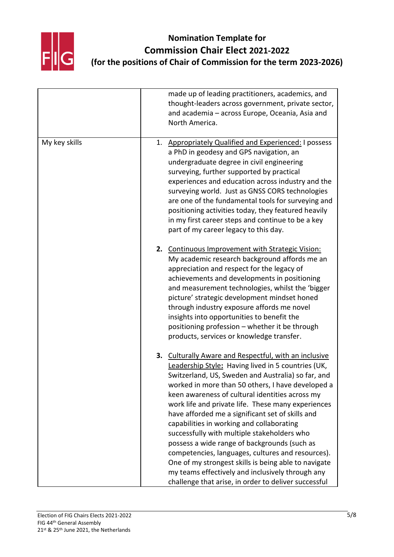

|               | made up of leading practitioners, academics, and<br>thought-leaders across government, private sector,<br>and academia - across Europe, Oceania, Asia and<br>North America.                                                                                                                                                                                                                                                                                                                                                                                                                                                                                                                                                                              |
|---------------|----------------------------------------------------------------------------------------------------------------------------------------------------------------------------------------------------------------------------------------------------------------------------------------------------------------------------------------------------------------------------------------------------------------------------------------------------------------------------------------------------------------------------------------------------------------------------------------------------------------------------------------------------------------------------------------------------------------------------------------------------------|
| My key skills | 1. Appropriately Qualified and Experienced: I possess<br>a PhD in geodesy and GPS navigation, an<br>undergraduate degree in civil engineering<br>surveying, further supported by practical<br>experiences and education across industry and the<br>surveying world. Just as GNSS CORS technologies<br>are one of the fundamental tools for surveying and<br>positioning activities today, they featured heavily<br>in my first career steps and continue to be a key<br>part of my career legacy to this day.                                                                                                                                                                                                                                            |
|               | 2. Continuous Improvement with Strategic Vision:<br>My academic research background affords me an<br>appreciation and respect for the legacy of<br>achievements and developments in positioning<br>and measurement technologies, whilst the 'bigger<br>picture' strategic development mindset honed<br>through industry exposure affords me novel<br>insights into opportunities to benefit the<br>positioning profession - whether it be through<br>products, services or knowledge transfer.                                                                                                                                                                                                                                                           |
|               | 3. Culturally Aware and Respectful, with an inclusive<br>Leadership Style: Having lived in 5 countries (UK,<br>Switzerland, US, Sweden and Australia) so far, and<br>worked in more than 50 others, I have developed a<br>keen awareness of cultural identities across my<br>work life and private life. These many experiences<br>have afforded me a significant set of skills and<br>capabilities in working and collaborating<br>successfully with multiple stakeholders who<br>possess a wide range of backgrounds (such as<br>competencies, languages, cultures and resources).<br>One of my strongest skills is being able to navigate<br>my teams effectively and inclusively through any<br>challenge that arise, in order to deliver successful |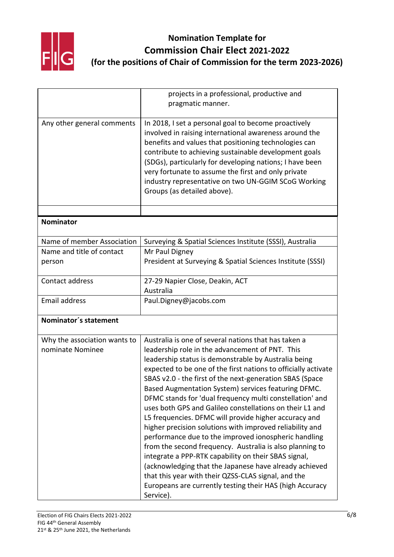

|                                                  | projects in a professional, productive and<br>pragmatic manner.                                                                                                                                                                                                                                                                                                                                                                                                                                                                                                                                                                                                                                                                                                                                                                                                                                                                                                         |
|--------------------------------------------------|-------------------------------------------------------------------------------------------------------------------------------------------------------------------------------------------------------------------------------------------------------------------------------------------------------------------------------------------------------------------------------------------------------------------------------------------------------------------------------------------------------------------------------------------------------------------------------------------------------------------------------------------------------------------------------------------------------------------------------------------------------------------------------------------------------------------------------------------------------------------------------------------------------------------------------------------------------------------------|
| Any other general comments                       | In 2018, I set a personal goal to become proactively<br>involved in raising international awareness around the<br>benefits and values that positioning technologies can<br>contribute to achieving sustainable development goals<br>(SDGs), particularly for developing nations; I have been<br>very fortunate to assume the first and only private<br>industry representative on two UN-GGIM SCoG Working<br>Groups (as detailed above).                                                                                                                                                                                                                                                                                                                                                                                                                                                                                                                               |
|                                                  |                                                                                                                                                                                                                                                                                                                                                                                                                                                                                                                                                                                                                                                                                                                                                                                                                                                                                                                                                                         |
| <b>Nominator</b>                                 |                                                                                                                                                                                                                                                                                                                                                                                                                                                                                                                                                                                                                                                                                                                                                                                                                                                                                                                                                                         |
| Name of member Association                       | Surveying & Spatial Sciences Institute (SSSI), Australia                                                                                                                                                                                                                                                                                                                                                                                                                                                                                                                                                                                                                                                                                                                                                                                                                                                                                                                |
| Name and title of contact<br>person              | Mr Paul Digney<br>President at Surveying & Spatial Sciences Institute (SSSI)                                                                                                                                                                                                                                                                                                                                                                                                                                                                                                                                                                                                                                                                                                                                                                                                                                                                                            |
| Contact address                                  | 27-29 Napier Close, Deakin, ACT<br>Australia                                                                                                                                                                                                                                                                                                                                                                                                                                                                                                                                                                                                                                                                                                                                                                                                                                                                                                                            |
| <b>Email address</b>                             | Paul.Digney@jacobs.com                                                                                                                                                                                                                                                                                                                                                                                                                                                                                                                                                                                                                                                                                                                                                                                                                                                                                                                                                  |
| Nominator's statement                            |                                                                                                                                                                                                                                                                                                                                                                                                                                                                                                                                                                                                                                                                                                                                                                                                                                                                                                                                                                         |
| Why the association wants to<br>nominate Nominee | Australia is one of several nations that has taken a<br>leadership role in the advancement of PNT. This<br>leadership status is demonstrable by Australia being<br>expected to be one of the first nations to officially activate<br>SBAS v2.0 - the first of the next-generation SBAS (Space<br>Based Augmentation System) services featuring DFMC.<br>DFMC stands for 'dual frequency multi constellation' and<br>uses both GPS and Galileo constellations on their L1 and<br>L5 frequencies. DFMC will provide higher accuracy and<br>higher precision solutions with improved reliability and<br>performance due to the improved ionospheric handling<br>from the second frequency. Australia is also planning to<br>integrate a PPP-RTK capability on their SBAS signal,<br>(acknowledging that the Japanese have already achieved<br>that this year with their QZSS-CLAS signal, and the<br>Europeans are currently testing their HAS (high Accuracy<br>Service). |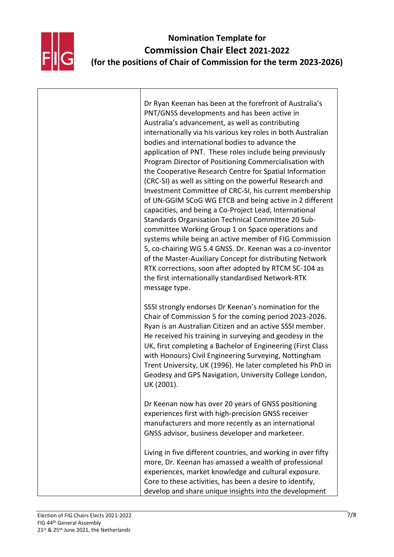

Dr Ryan Keenan has been at the forefront of Australia's PNT/GNSS developments and has been active in Australia's advancement, as well as contributing internationally via his various key roles in both Australian bodies and international bodies to advance the application of PNT. These roles include being previously Program Director of Positioning Commercialisation with the Cooperative Research Centre for Spatial Information (CRC-SI) as well as sitting on the powerful Research and Investment Committee of CRC-SI, his current membership of UN-GGIM SCoG WG ETCB and being active in 2 different capacities, and being a Co-Project Lead, International Standards Organisation Technical Committee 20 Subcommittee Working Group 1 on Space operations and systems while being an active member of FIG Commission 5, co-chairing WG 5.4 GNSS. Dr. Keenan was a co-inventor of the Master-Auxiliary Concept for distributing Network RTK corrections, soon after adopted by RTCM SC-104 as the first internationally standardised Network-RTK message type. SSSI strongly endorses Dr Keenan's nomination for the Chair of Commission 5 for the coming period 2023-2026. Ryan is an Australian Citizen and an active SSSI member. He received his training in surveying and geodesy in the UK, first completing a Bachelor of Engineering (First Class with Honours) Civil Engineering Surveying, Nottingham Trent University, UK (1996). He later completed his PhD in Geodesy and GPS Navigation, University College London, UK (2001). Dr Keenan now has over 20 years of GNSS positioning experiences first with high-precision GNSS receiver manufacturers and more recently as an international GNSS advisor, business developer and marketeer. Living in five different countries, and working in over fifty more, Dr. Keenan has amassed a wealth of professional experiences, market knowledge and cultural exposure. Core to these activities, has been a desire to identify, develop and share unique insights into the development